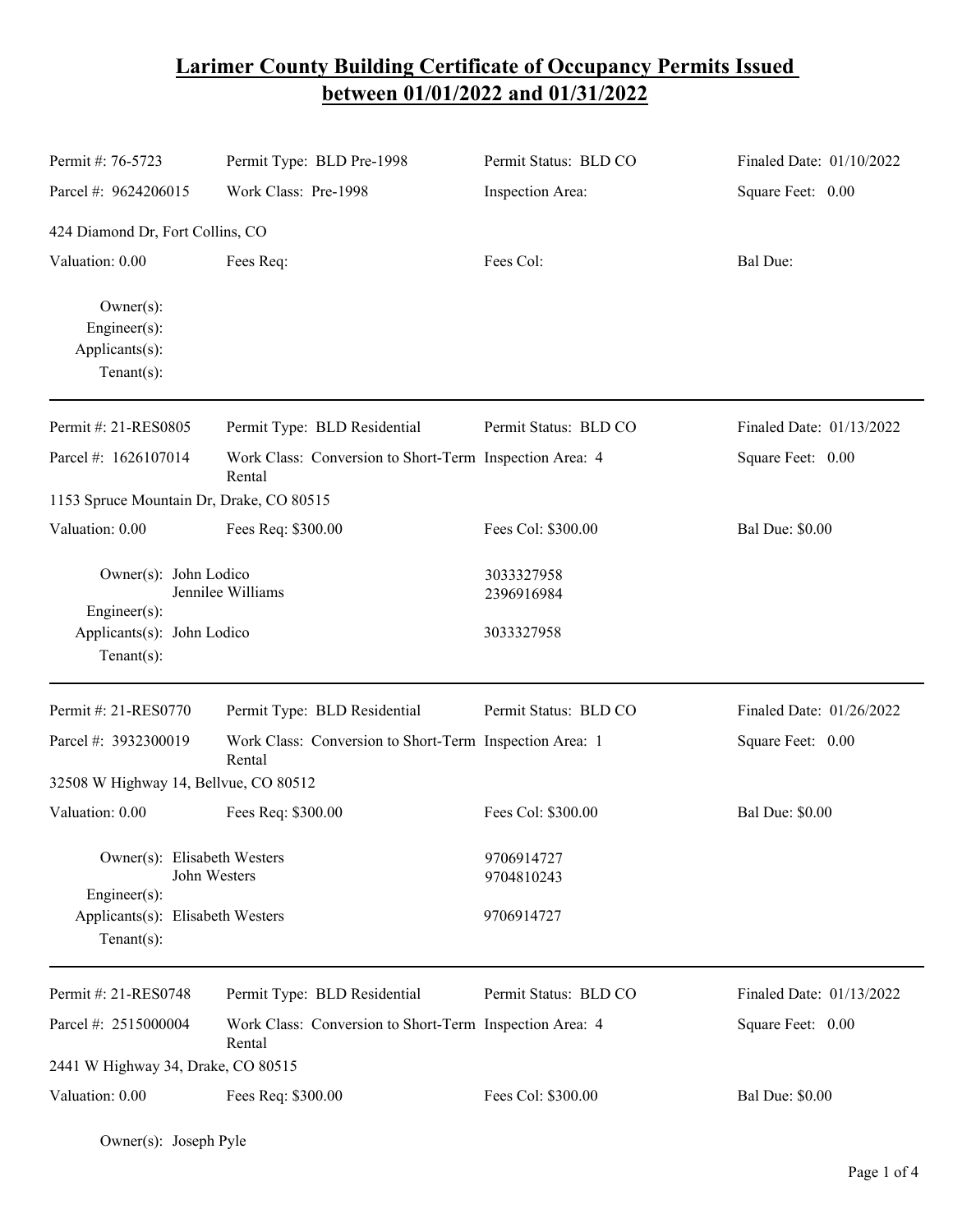## **Larimer County Building Certificate of Occupancy Permits Issued between 01/01/2022 and 01/31/2022**

| Permit #: 76-5723                                                       | Permit Type: BLD Pre-1998                                         | Permit Status: BLD CO    | Finaled Date: 01/10/2022 |  |  |  |
|-------------------------------------------------------------------------|-------------------------------------------------------------------|--------------------------|--------------------------|--|--|--|
| Parcel #: 9624206015                                                    | Work Class: Pre-1998                                              | Inspection Area:         | Square Feet: 0.00        |  |  |  |
| 424 Diamond Dr, Fort Collins, CO                                        |                                                                   |                          |                          |  |  |  |
| Valuation: 0.00                                                         | Fees Req:                                                         | Fees Col:                | Bal Due:                 |  |  |  |
| $Owner(s)$ :<br>Engineer(s):<br>Applicants(s):<br>Tenant $(s)$ :        |                                                                   |                          |                          |  |  |  |
| Permit #: 21-RES0805                                                    | Permit Type: BLD Residential                                      | Permit Status: BLD CO    | Finaled Date: 01/13/2022 |  |  |  |
| Parcel #: 1626107014                                                    | Work Class: Conversion to Short-Term Inspection Area: 4<br>Rental |                          | Square Feet: 0.00        |  |  |  |
| 1153 Spruce Mountain Dr, Drake, CO 80515                                |                                                                   |                          |                          |  |  |  |
| Valuation: 0.00                                                         | Fees Req: \$300.00                                                | Fees Col: \$300.00       | <b>Bal Due: \$0.00</b>   |  |  |  |
| Owner(s): John Lodico<br>Jennilee Williams<br>Engineer(s):              |                                                                   | 3033327958<br>2396916984 |                          |  |  |  |
| Applicants(s): John Lodico<br>$Tenant(s)$ :                             |                                                                   | 3033327958               |                          |  |  |  |
| Permit #: 21-RES0770                                                    | Permit Type: BLD Residential                                      | Permit Status: BLD CO    | Finaled Date: 01/26/2022 |  |  |  |
| Parcel #: 3932300019                                                    | Work Class: Conversion to Short-Term Inspection Area: 1<br>Rental |                          | Square Feet: 0.00        |  |  |  |
| 32508 W Highway 14, Bellvue, CO 80512                                   |                                                                   |                          |                          |  |  |  |
| Valuation: 0.00                                                         | Fees Req: \$300.00                                                | Fees Col: \$300.00       | <b>Bal Due: \$0.00</b>   |  |  |  |
| Owner(s): Elisabeth Westers<br>John Westers                             |                                                                   | 9706914727<br>9704810243 |                          |  |  |  |
| $Engineering(s)$ :<br>Applicants(s): Elisabeth Westers<br>$Tenant(s)$ : |                                                                   | 9706914727               |                          |  |  |  |
| Permit #: 21-RES0748                                                    | Permit Type: BLD Residential                                      | Permit Status: BLD CO    | Finaled Date: 01/13/2022 |  |  |  |
| Parcel #: 2515000004                                                    | Work Class: Conversion to Short-Term Inspection Area: 4<br>Rental |                          | Square Feet: 0.00        |  |  |  |
| 2441 W Highway 34, Drake, CO 80515                                      |                                                                   |                          |                          |  |  |  |
| Valuation: 0.00                                                         | Fees Req: \$300.00                                                | Fees Col: \$300.00       | <b>Bal Due: \$0.00</b>   |  |  |  |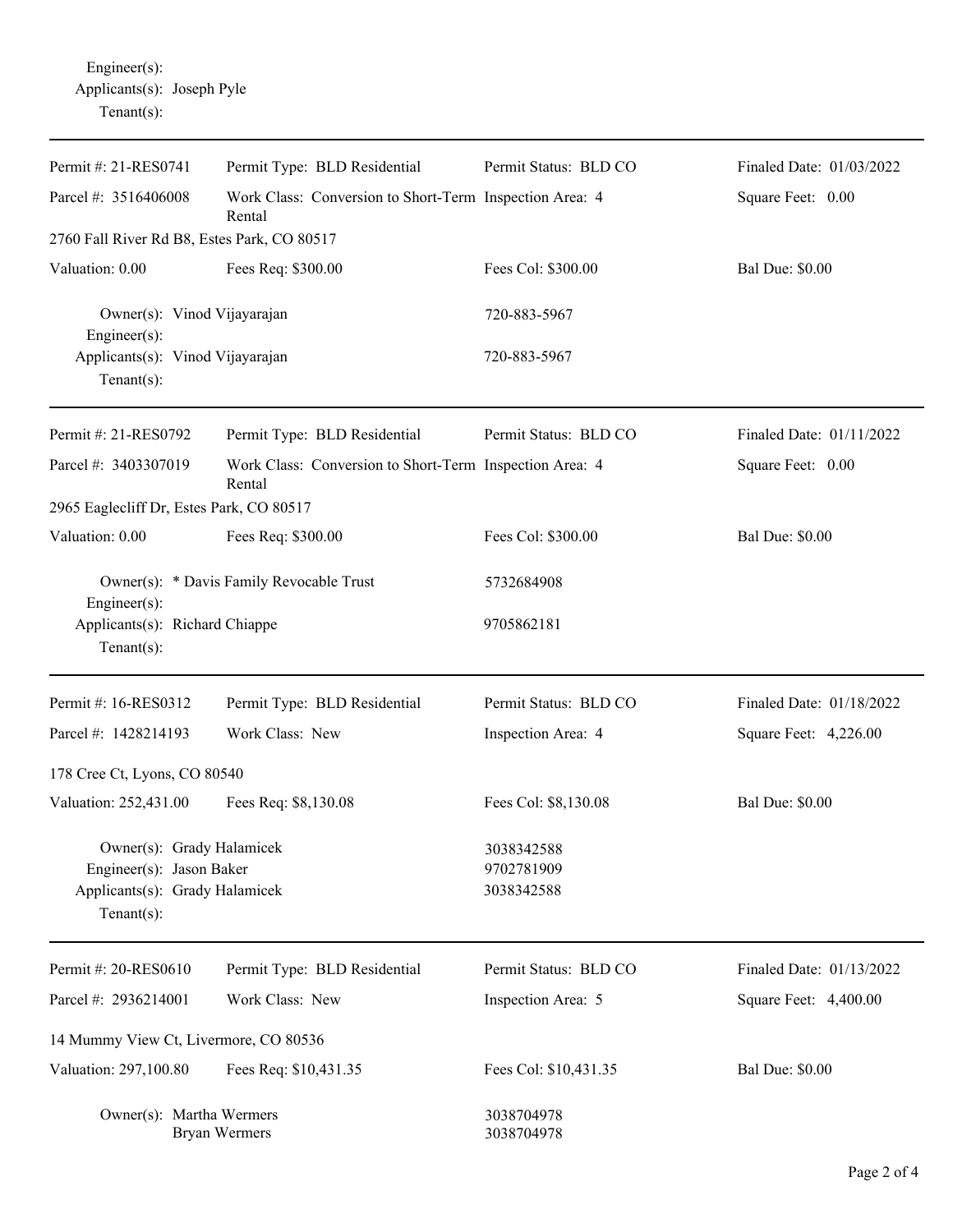| Permit #: 21-RES0741                                                                                      | Permit Type: BLD Residential                                      | Permit Status: BLD CO                  | Finaled Date: 01/03/2022 |  |
|-----------------------------------------------------------------------------------------------------------|-------------------------------------------------------------------|----------------------------------------|--------------------------|--|
| Parcel #: 3516406008                                                                                      | Work Class: Conversion to Short-Term Inspection Area: 4<br>Rental |                                        | Square Feet: 0.00        |  |
| 2760 Fall River Rd B8, Estes Park, CO 80517                                                               |                                                                   |                                        |                          |  |
| Valuation: 0.00                                                                                           | Fees Req: \$300.00                                                | Fees Col: \$300.00                     | <b>Bal Due: \$0.00</b>   |  |
| Owner(s): Vinod Vijayarajan<br>Engineer $(s)$ :                                                           |                                                                   | 720-883-5967                           |                          |  |
| Applicants(s): Vinod Vijayarajan<br>Tenant $(s)$ :                                                        |                                                                   | 720-883-5967                           |                          |  |
| Permit #: 21-RES0792                                                                                      | Permit Type: BLD Residential                                      | Permit Status: BLD CO                  | Finaled Date: 01/11/2022 |  |
| Parcel #: 3403307019                                                                                      | Work Class: Conversion to Short-Term Inspection Area: 4<br>Rental |                                        | Square Feet: 0.00        |  |
| 2965 Eaglecliff Dr, Estes Park, CO 80517                                                                  |                                                                   |                                        |                          |  |
| Valuation: 0.00                                                                                           | Fees Req: \$300.00                                                | Fees Col: \$300.00                     | <b>Bal Due: \$0.00</b>   |  |
| Owner(s): * Davis Family Revocable Trust                                                                  |                                                                   | 5732684908                             |                          |  |
| Engineer(s):<br>Applicants(s): Richard Chiappe<br>Tenant $(s)$ :                                          |                                                                   | 9705862181                             |                          |  |
| Permit #: 16-RES0312                                                                                      | Permit Type: BLD Residential                                      | Permit Status: BLD CO                  | Finaled Date: 01/18/2022 |  |
| Parcel #: 1428214193                                                                                      | Work Class: New                                                   | Inspection Area: 4                     | Square Feet: 4,226.00    |  |
| 178 Cree Ct, Lyons, CO 80540                                                                              |                                                                   |                                        |                          |  |
| Valuation: 252,431.00                                                                                     | Fees Req: \$8,130.08                                              | Fees Col: \$8,130.08                   | <b>Bal Due: \$0.00</b>   |  |
| Owner(s): Grady Halamicek<br>Engineer(s): Jason Baker<br>Applicants(s): Grady Halamicek<br>Tenant $(s)$ : |                                                                   | 3038342588<br>9702781909<br>3038342588 |                          |  |
| Permit #: 20-RES0610                                                                                      | Permit Type: BLD Residential                                      | Permit Status: BLD CO                  | Finaled Date: 01/13/2022 |  |
| Parcel #: 2936214001                                                                                      | Work Class: New                                                   | Inspection Area: 5                     | Square Feet: 4,400.00    |  |
| 14 Mummy View Ct, Livermore, CO 80536                                                                     |                                                                   |                                        |                          |  |
| Valuation: 297,100.80                                                                                     | Fees Req: \$10,431.35                                             | Fees Col: \$10,431.35                  | <b>Bal Due: \$0.00</b>   |  |
| Owner(s): Martha Wermers<br><b>Bryan Wermers</b>                                                          |                                                                   | 3038704978<br>3038704978               |                          |  |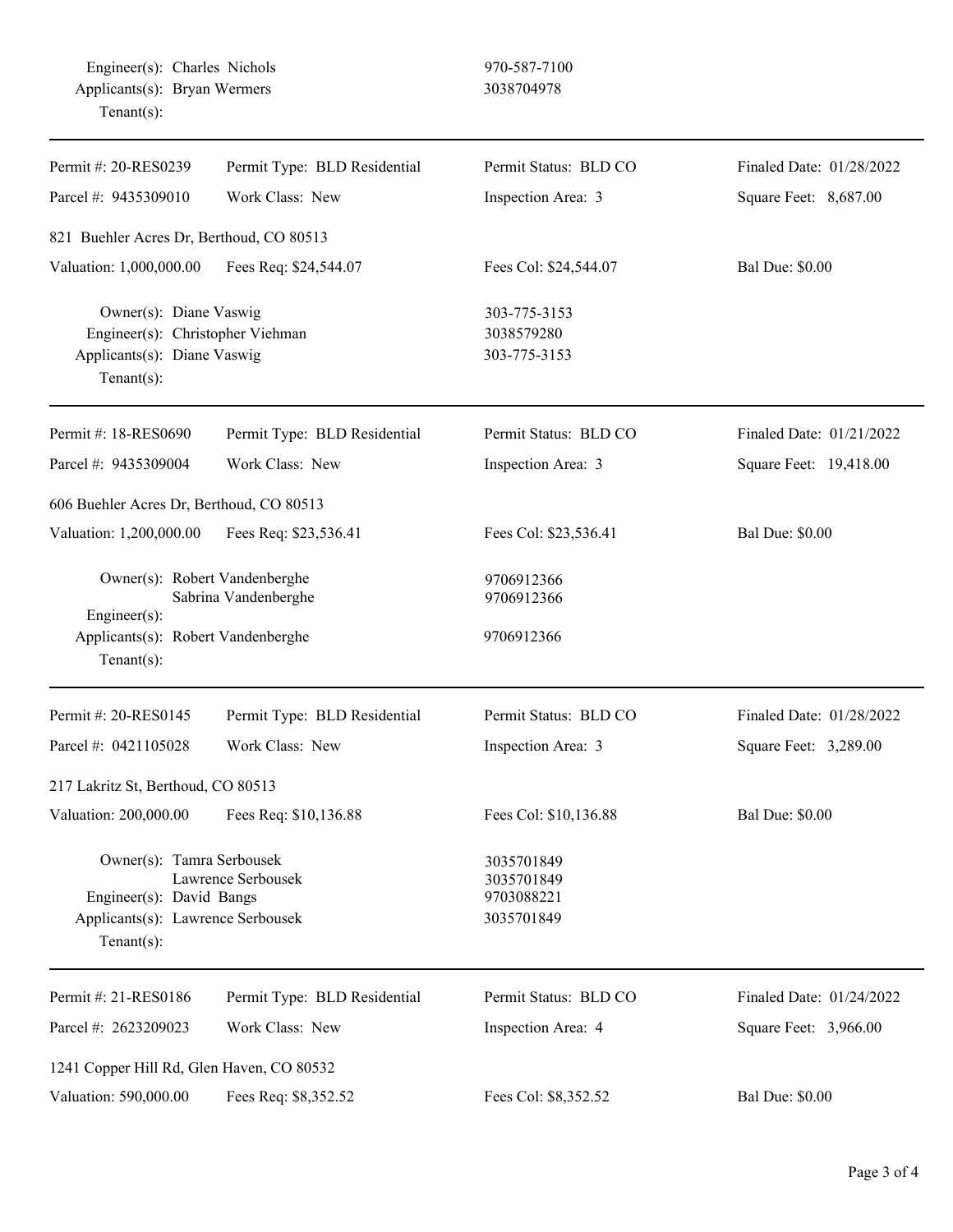| Permit #: 20-RES0239                                                                                        | Permit Type: BLD Residential | Permit Status: BLD CO                                | Finaled Date: 01/28/2022 |  |  |  |  |
|-------------------------------------------------------------------------------------------------------------|------------------------------|------------------------------------------------------|--------------------------|--|--|--|--|
| Parcel #: 9435309010                                                                                        | Work Class: New              | Inspection Area: 3                                   | Square Feet: 8,687.00    |  |  |  |  |
| 821 Buehler Acres Dr, Berthoud, CO 80513                                                                    |                              |                                                      |                          |  |  |  |  |
| Valuation: 1,000,000.00                                                                                     | Fees Req: \$24,544.07        | Fees Col: \$24,544.07                                | <b>Bal Due: \$0.00</b>   |  |  |  |  |
| Owner(s): Diane Vaswig<br>Engineer(s): Christopher Viehman<br>Applicants(s): Diane Vaswig<br>$Tenant(s)$ :  |                              | 303-775-3153<br>3038579280<br>303-775-3153           |                          |  |  |  |  |
| Permit #: 18-RES0690                                                                                        | Permit Type: BLD Residential | Permit Status: BLD CO                                | Finaled Date: 01/21/2022 |  |  |  |  |
| Parcel #: 9435309004                                                                                        | Work Class: New              | Inspection Area: 3                                   | Square Feet: 19,418.00   |  |  |  |  |
| 606 Buehler Acres Dr, Berthoud, CO 80513                                                                    |                              |                                                      |                          |  |  |  |  |
| Valuation: 1,200,000.00                                                                                     | Fees Req: \$23,536.41        | Fees Col: \$23,536.41                                | <b>Bal Due: \$0.00</b>   |  |  |  |  |
| Owner(s): Robert Vandenberghe<br>Engineer(s):<br>Applicants(s): Robert Vandenberghe<br>$Tenant(s)$ :        | Sabrina Vandenberghe         | 9706912366<br>9706912366<br>9706912366               |                          |  |  |  |  |
| Permit #: 20-RES0145                                                                                        | Permit Type: BLD Residential | Permit Status: BLD CO                                | Finaled Date: 01/28/2022 |  |  |  |  |
| Parcel #: 0421105028                                                                                        | Work Class: New              | Inspection Area: 3                                   | Square Feet: 3,289.00    |  |  |  |  |
| 217 Lakritz St, Berthoud, CO 80513                                                                          |                              |                                                      |                          |  |  |  |  |
| Valuation: 200,000.00                                                                                       | Fees Req: \$10,136.88        | Fees Col: \$10,136.88                                | <b>Bal Due: \$0.00</b>   |  |  |  |  |
| Owner(s): Tamra Serbousek<br>Engineer(s): David Bangs<br>Applicants(s): Lawrence Serbousek<br>$Tenant(s)$ : | Lawrence Serbousek           | 3035701849<br>3035701849<br>9703088221<br>3035701849 |                          |  |  |  |  |
| Permit #: 21-RES0186                                                                                        | Permit Type: BLD Residential | Permit Status: BLD CO                                | Finaled Date: 01/24/2022 |  |  |  |  |
| Parcel #: 2623209023                                                                                        | Work Class: New              | Inspection Area: 4                                   | Square Feet: 3,966.00    |  |  |  |  |
| 1241 Copper Hill Rd, Glen Haven, CO 80532                                                                   |                              |                                                      |                          |  |  |  |  |
| Valuation: 590,000.00                                                                                       | Fees Req: \$8,352.52         | Fees Col: \$8,352.52                                 | <b>Bal Due: \$0.00</b>   |  |  |  |  |